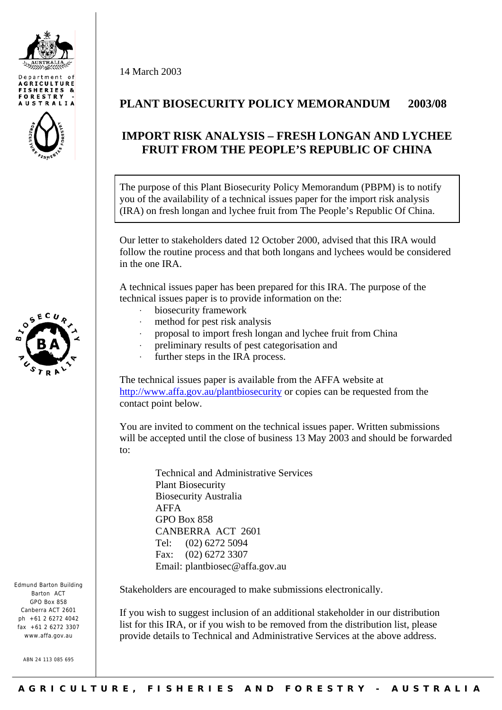





Edmund Barton Building Barton ACT GPO Box 858 Canberra ACT 2601  $ph +61$  2 6272 4042 fax +61 2 6272 3307 www.affa.gov.au

ABN 24 113 085 695

14 March 2003

## **PLANT BIOSECURITY POLICY MEMORANDUM 2003/08**

## **IMPORT RISK ANALYSIS – FRESH LONGAN AND LYCHEE FRUIT FROM THE PEOPLE'S REPUBLIC OF CHINA**

The purpose of this Plant Biosecurity Policy Memorandum (PBPM) is to notify you of the availability of a technical issues paper for the import risk analysis (IRA) on fresh longan and lychee fruit from The People's Republic Of China.

Our letter to stakeholders dated 12 October 2000, advised that this IRA would follow the routine process and that both longans and lychees would be considered in the one IRA

A technical issues paper has been prepared for this IRA. The purpose of the technical issues paper is to provide information on the:

- biosecurity framework
- method for pest risk analysis
- proposal to import fresh longan and lychee fruit from China
- preliminary results of pest categorisation and
- further steps in the IRA process.

The technical issues paper is available from the AFFA website at http://www.affa.gov.au/plantbiosecurity or copies can be requested from the contact point below.

You are invited to comment on the technical issues paper. Written submissions will be accepted until the close of business 13 May 2003 and should be forwarded to:

 Technical and Administrative Services Plant Biosecurity Biosecurity Australia AFFA GPO Box 858 CANBERRA ACT 2601 Tel: (02) 6272 5094 Fax: (02) 6272 3307 Email: plantbiosec@affa.gov.au

Stakeholders are encouraged to make submissions electronically.

If you wish to suggest inclusion of an additional stakeholder in our distribution list for this IRA, or if you wish to be removed from the distribution list, please provide details to Technical and Administrative Services at the above address.